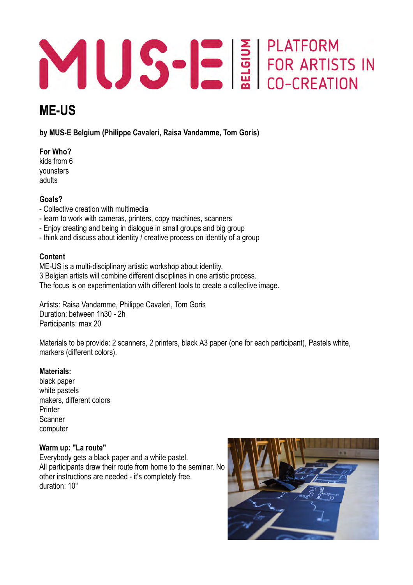# MUS-E BRARTISTS IN

# **ME-US**

**by MUS-E Belgium (Philippe Cavaleri, Raisa Vandamme, Tom Goris)**

## **For Who?**

kids from 6 younsters adults

### **Goals?**

- Collective creation with multimedia
- learn to work with cameras, printers, copy machines, scanners
- Enjoy creating and being in dialogue in small groups and big group
- think and discuss about identity / creative process on identity of a group

### **Content**

ME-US is a multi-disciplinary artistic workshop about identity. 3 Belgian artists will combine different disciplines in one artistic process. The focus is on experimentation with different tools to create a collective image.

Artists: Raisa Vandamme, Philippe Cavaleri, Tom Goris Duration: between 1h30 - 2h Participants: max 20

Materials to be provide: 2 scanners, 2 printers, black A3 paper (one for each participant), Pastels white, markers (different colors).

### **Materials:**

black paper white pastels makers, different colors **Printer Scanner** computer

### **Warm up: "La route"**

Everybody gets a black paper and a white pastel. All participants draw their route from home to the seminar. No other instructions are needed - it's completely free. duration: 10"

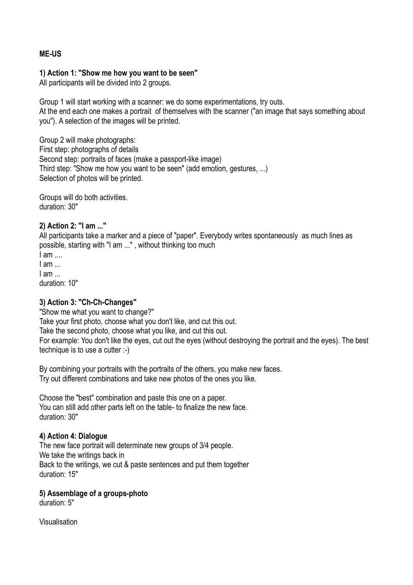### **ME-US**

### **1) Action 1: "Show me how you want to be seen"**

All participants will be divided into 2 groups.

Group 1 will start working with a scanner: we do some experimentations, try outs. At the end each one makes a portrait of themselves with the scanner ("an image that says something about you"). A selection of the images will be printed.

Group 2 will make photographs: First step: photographs of details Second step: portraits of faces (make a passport-like image) Third step: "Show me how you want to be seen" (add emotion, gestures, ...) Selection of photos will be printed.

Groups will do both activities. duration: 30"

### **2) Action 2: "I am ..."**

All participants take a marker and a piece of "paper". Everybody writes spontaneously as much lines as possible, starting with "I am ..." , without thinking too much I am ....  $I$  am  $\overline{I}$  $I$  am  $\ldots$ duration: 10"

### **3) Action 3: "Ch-Ch-Changes"**

"Show me what you want to change?" Take your first photo, choose what you don't like, and cut this out. Take the second photo, choose what you like, and cut this out. For example: You don't like the eyes, cut out the eyes (without destroying the portrait and the eyes). The best technique is to use a cutter :-)

By combining your portraits with the portraits of the others, you make new faces. Try out different combinations and take new photos of the ones you like.

Choose the "best" combination and paste this one on a paper. You can still add other parts left on the table- to finalize the new face. duration: 30"

### **4) Action 4: Dialogue**

The new face portrait will determinate new groups of 3/4 people. We take the writings back in Back to the writings, we cut & paste sentences and put them together duration: 15"

### **5) Assemblage of a groups-photo**

duration: 5"

Visualisation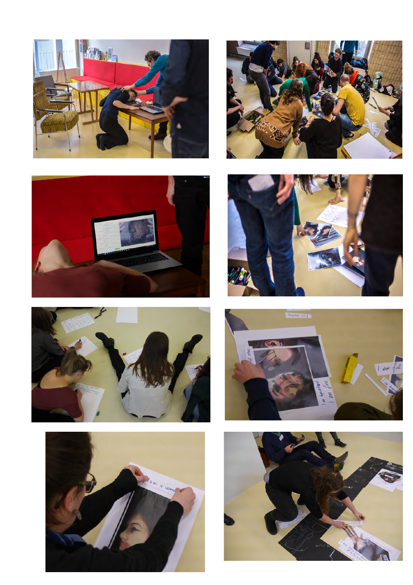